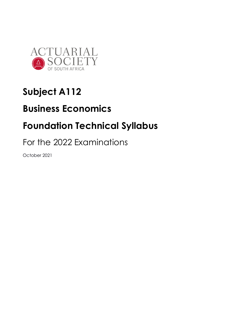

# **Subject A112**

## **Business Economics**

## **Foundation Technical Syllabus**

For the 2022 Examinations

October 2021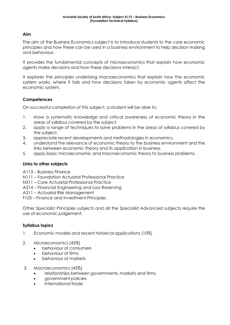## **Aim**

The aim of the Business Economics subject is to introduce students to the core economic principles and how these can be used in a business environment to help decision making and behaviour.

It provides the fundamental concepts of microeconomics that explain how economic agents make decisions and how these decisions interact.

It explores the principles underlying macroeconomics that explain how the economic system works, where it fails and how decisions taken by economic agents affect the economic system.

## **Competences**

On successful completion of this subject, a student will be able to:

- 1. show a systematic knowledge and critical awareness of economic theory in the areas of syllabus covered by the subject.
- 2. apply a range of techniques to solve problems in the areas of syllabus covered by the subject.
- 3. appreciate recent developments and methodologies in economics.
- 4. understand the relevance of economic theory to the business environment and the links between economic theory and its application in business.
- 5. apply basic microeconomic and macroeconomic theory to business problems.

## **Links to other subjects**

- A113 Business Finance
- N111 Foundation Actuarial Professional Practice
- N311 Core Actuarial Professional Practice
- A214 Financial Engineering and Loss Reserving
- A311 Actuarial Risk Management
- F105 Finance and Investment Principles

Other Specialist Principles subjects and all the Specialist Advanced subjects require the use of economic judgement.

## **Syllabus topics**

- 1. Economic models and recent historical applications (10%)
- 2. Microeconomics (45%)
	- behaviour of consumers
	- behaviour of firms
	- behaviour of markets
- 3. Macroeconomics (45%)
	- relationships between governments, markets and firms
	- government policies
	- international trade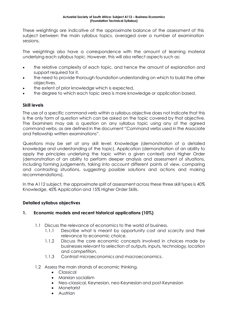These weightings are indicative of the approximate balance of the assessment of this subject between the main syllabus topics, averaged over a number of examination sessions.

The weightings also have a correspondence with the amount of learning material underlying each syllabus topic. However, this will also reflect aspects such as:

- the relative complexity of each topic, and hence the amount of explanation and support required for it.
- the need to provide thorough foundation understanding on which to build the other objectives.
- the extent of prior knowledge which is expected.
- the degree to which each topic area is more knowledge or application based.

## **Skill levels**

The use of a specific command verb within a syllabus objective does not indicate that this is the only form of question which can be asked on the topic covered by that objective. The Examiners may ask a question on any syllabus topic using any of the agreed command verbs, as are defined in the document "Command verbs used in the Associate and Fellowship written examinations".

Questions may be set at any skill level: Knowledge (demonstration of a detailed knowledge and understanding of the topic), Application (demonstration of an ability to apply the principles underlying the topic within a given context) and Higher Order (demonstration of an ability to perform deeper analysis and assessment of situations, including forming judgements, taking into account different points of view, comparing and contrasting situations, suggesting possible solutions and actions and making recommendations).

In the A112 subject, the approximate split of assessment across these three skill types is 40% Knowledge, 45% Application and 15% Higher Order Skills.

## **Detailed syllabus objectives**

## **1. Economic models and recent historical applications (10%)**

- 1.1 Discuss the relevance of economics to the world of business.
	- 1.1.1 Describe what is meant by opportunity cost and scarcity and their relevance to economic choice.
	- 1.1.2 Discuss the core economic concepts involved in choices made by businesses relevant to selection of outputs, inputs, technology, location and competition.
	- 1.1.3 Contrast microeconomics and macroeconomics.
- 1.2 Assess the main strands of economic thinking.
	- Classical
	- Marxian socialism
	- Neo-classical, Keynesian, neo-Keynesian and post-Keynesian
	- Monetarist
	- Austrian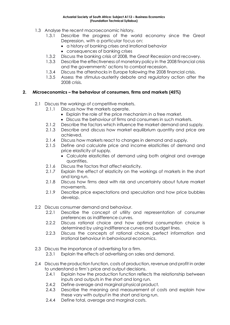- 1.3 Analyse the recent macroeconomic history.
	- 1.3.1 Describe the progress of the world economy since the Great Depression, with a particular focus on:
		- a history of banking crises and irrational behavior
		- consequences of banking crises
	- 1.3.2 Discuss the banking crisis of 2008, the Great Recession and recovery.
	- 1.3.3 Describe the effectiveness of monetary policy in the 2008 financial crisis and the governments' actions to combat recession.
	- 1.3.4 Discuss the aftershocks in Europe following the 2008 financial crisis.
	- 1.3.5 Assess the stimulus-austerity debate and regulatory action after the 2008 crisis.

## **2. Microeconomics – the behaviour of consumers, firms and markets (45%)**

- 2.1 Discuss the workings of competitive markets.
	- 2.1.1 Discuss how the markets operate.
		- Explain the role of the price mechanism in a free market.
		- Discuss the behaviour of firms and consumers in such markets.
	- 2.1.2 Describe the factors which influence the market demand and supply.
	- 2.1.3 Describe and discuss how market equilibrium quantity and price are achieved.
	- 2.1.4 Discuss how markets react to changes in demand and supply.
	- 2.1.5 Define and calculate price and income elasticities of demand and price elasticity of supply.
		- Calculate elasticities of demand using both original and average quantities.
	- 2.1.6 Discuss the factors that affect elasticity.
	- 2.1.7 Explain the effect of elasticity on the workings of markets in the short and long run.
	- 2.1.8 Discuss how firms deal with risk and uncertainty about future market movements.
	- 2.1.9 Describe price expectations and speculation and how price bubbles develop.
- 2.2 Discuss consumer demand and behaviour.
	- 2.2.1 Describe the concept of utility and representation of consumer preferences as indifference curves.
	- 2.2.2 Discuss rational choice and how optimal consumption choice is determined by using indifference curves and budget lines.
	- 2.2.3 Discuss the concepts of rational choice, perfect information and irrational behaviour in behavioural economics.
- 2.3 Discuss the importance of advertising for a firm.
	- 2.3.1 Explain the effects of advertising on sales and demand.
- 2.4 Discuss the production function, costs of production, revenue and profit in order to understand a firm's price and output decisions.
	- 2.4.1 Explain how the production function reflects the relationship between inputs and outputs in the short and long run.
	- 2.4.2 Define average and marginal physical product.
	- 2.4.3 Describe the meaning and measurement of costs and explain how these vary with output in the short and long run.
	- 2.4.4 Define total, average and marginal costs.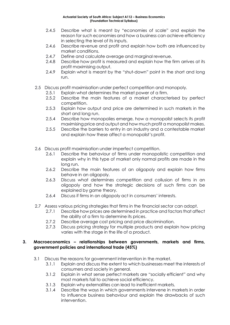- 2.4.5 Describe what is meant by "economies of scale" and explain the reason for such economies and how a business can achieve efficiency in selecting the level of its inputs.
- 2.4.6 Describe revenue and profit and explain how both are influenced by market conditions.
- 2.4.7 Define and calculate average and marginal revenue.
- 2.4.8 Describe how profit is measured and explain how the firm arrives at its profit maximising output.
- 2.4.9 Explain what is meant by the "shut-down" point in the short and long run.
- 2.5 Discuss profit maximisation under perfect competition and monopoly.
	- 2.5.1 Explain what determines the market power of a firm.
	- 2.5.2 Describe the main features of a market characterised by perfect competition.
	- 2.5.3 Explain how output and price are determined in such markets in the short and long run.
	- 2.5.4 Describe how monopolies emerge, how a monopolist selects its profit maximising price and output and how much profit a monopolist makes.
	- 2.5.5 Describe the barriers to entry in an industry and a contestable market and explain how these affect a monopolist's profit.
- 2.6 Discuss profit maximisation under imperfect competition.
	- 2.6.1 Describe the behaviour of firms under monopolistic competition and explain why in this type of market only normal profits are made in the long run.
	- 2.6.2 Describe the main features of an oligopoly and explain how firms behave in an oligopoly.
	- 2.6.3 Discuss what determines competition and collusion of firms in an oligopoly and how the strategic decisions of such firms can be explained by game theory.
	- 2.6.4 Discuss if firms in an oligopoly act in consumers' interests.
- 2.7 Assess various pricing strategies that firms in the financial sector can adopt.
	- 2.7.1 Describe how prices are determined in practice and factors that affect the ability of a firm to determine its prices.
	- 2.7.2 Describe average cost pricing and price discrimination.
	- 2.7.3 Discuss pricing strategy for multiple products and explain how pricing varies with the stage in the life of a product.

#### **3. Macroeconomics – relationships between governments, markets and firms, government policies and international trade (45%)**

- 3.1 Discuss the reasons for government intervention in the market.
	- 3.1.1 Explain and discuss the extent to which businesses meet the interests of consumers and society in general.
	- 3.1.2 Explain in what sense perfect markets are "socially efficient" and why most markets fail to achieve social efficiency.
	- 3.1.3 Explain why externalities can lead to inefficient markets.
	- 3.1.4 Describe the ways in which governments intervene in markets in order to influence business behaviour and explain the drawbacks of such intervention.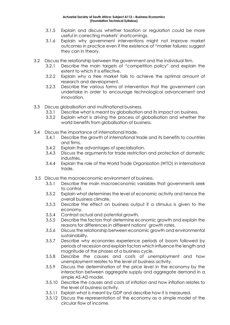- 3.1.5 Explain and discuss whether taxation or regulation could be more useful in correcting markets' shortcomings.
- 3.1.6 Explain why government interventions might not improve market outcomes in practice even if the existence of "marker failures: suggest they can in theory.
- 3.2 Discuss the relationship between the government and the individual firm.
	- 3.2.1 Describe the main targets of "competition policy" and explain the extent to which it is effective.
	- 3.2.2 Explain why a free market fails to achieve the optimal amount of research and development.
	- 3.2.3 Describe the various forms of intervention that the government can undertake in order to encourage technological advancement and innovation.
- 3.3 Discuss globalisation and multinational business.
	- 3.3.1 Describe what is meant by globalisation and its impact on business.
	- 3.3.2 Explain what is driving the process of globalisation and whether the world benefits from globalisation of business.
- 3.4 Discuss the importance of international trade.
	- 3.4.1 Describe the growth of international trade and its benefits to countries and firms.
	- 3.4.2 Explain the advantages of specialisation.
	- 3.4.3 Discuss the arguments for trade restriction and protection of domestic industries.
	- 3.4.4 Explain the role of the World Trade Organisation (WTO) in international trade.
- 3.5 Discuss the macroeconomic environment of business.
	- 3.5.1 Describe the main macroeconomic variables that governments seek to control.
	- 3.5.2 Explain what determines the level of economic activity and hence the overall business climate.
	- 3.5.3 Describe the effect on business output if a stimulus is given to the economy.
	- 3.5.4 Contrast actual and potential growth.
	- 3.5.5 Describe the factors that determine economic growth and explain the reasons for differences in different nations' growth rates.
	- 3.5.6 Discuss the relationship between economic growth and environmental sustainability.
	- 3.5.7 Describe why economies experience periods of boom followed by periods of recession and explain factors which influence the length and magnitude of the phases of a business cycle.
	- 3.5.8 Describe the causes and costs of unemployment and how unemployment relates to the level of business activity.
	- 3.5.9 Discuss the determination of the price level in the economy by the interaction between aggregate supply and aggregate demand in a simple AS-AD model.
	- 3.5.10 Describe the causes and costs of inflation and how inflation relates to the level of business activity.
	- 3.5.11 Explain what is meant by GDP and describe how it is measured.
	- 3.5.12 Discuss the representation of the economy as a simple model of the circular flow of income.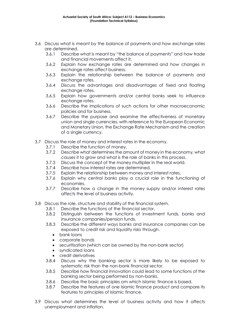- 3.6 Discuss what is meant by the balance of payments and how exchange rates are determined.
	- 3.6.1 Describe what is meant by "the balance of payments" and how trade and financial movements affect it.
	- 3.6.2 Explain how exchange rates are determined and how changes in exchange rates affect business.
	- 3.6.3 Explain the relationship between the balance of payments and exchange rates.
	- 3.6.4 Discuss the advantages and disadvantages of fixed and floating exchange rates.
	- 3.6.5 Explain how governments and/or central banks seek to influence exchange rates.
	- 3.6.6 Describe the implications of such actions for other macroeconomic policies and for business.
	- 3.6.7 Describe the purpose and examine the effectiveness of monetary union and single currencies, with reference to the European Economic and Monetary Union, the Exchange Rate Mechanism and the creation of a single currency.
- 3.7 Discuss the role of money and interest rates in the economy.
	- 3.7.1 Describe the function of money.
	- 3.7.2 Describe what determinesthe amount of money in the economy, what causes it to grow and what is the role of banks in this process.
	- 3.7.3 Discuss the concept of the money multiplier in the real world.
	- 3.7.4 Describe how interest rates are determined.
	- 3.7.5 Explain the relationship between money and interest rates.
	- 3.7.6 Explain why central banks play a crucial role in the functioning of economies.
	- 3.7.7 Describe how a change in the money supply and/or interest rates affects the level of business activity.
- 3.8 Discuss the role, structure and stability of the financial system.
	- 3.8.1 Describe the functions of the financial sector.
	- 3.8.2 Distinguish between the functions of investment funds, banks and insurance companies/pension funds.
	- 3.8.3 Describe the different ways banks and insurance companies can be exposed to credit risk and liquidity risks through.
		- bank loans
		- corporate bonds
		- securitisation (which can be owned by the non-bank sector)
		- syndicated loans
		- credit derivatives
	- 3.8.4 Discuss why the banking sector is more likely to be exposed to systematic risk than the non-bank financial sector.
	- 3.8.5 Describe how financial innovation could lead to some functions of the banking sector being performed by non-banks.
	- 3.8.6 Describe the basic principles om which Islamic finance is based.
	- 3.8.7 Describe the features of one Islamic finance product and compare its features to principles of Islamic finance.
- 3.9 Discuss what determines the level of business activity and how it affects unemployment and inflation.